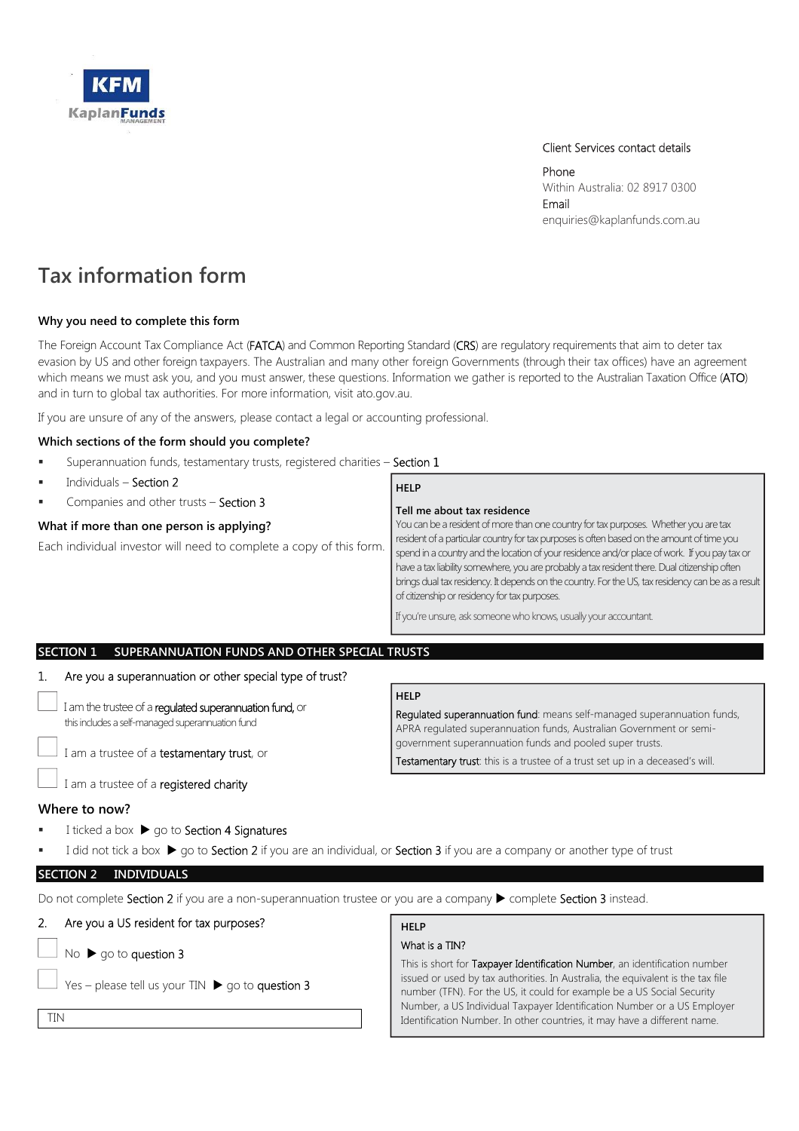

## Client Services contact details

Phone Within Australia: 02 8917 0300 Email enquiries@kaplanfunds.com.au

# **Tax information form**

## **Why you need to complete this form**

The Foreign Account Tax Compliance Act (FATCA) and Common Reporting Standard (CRS) are regulatory requirements that aim to deter tax evasion by US and other foreign taxpayers. The Australian and many other foreign Governments (through their tax offices) have an agreement which means we must ask you, and you must answer, these questions. Information we gather is reported to the Australian Taxation Office (ATO) and in turn to global tax authorities. For more information, visit ato.gov.au.

If you are unsure of any of the answers, please contact a legal or accounting professional.

## **Which sections of the form should you complete?**

Superannuation funds, testamentary trusts, registered charities - Section 1

| $\mathbf{u}$ | Individuals - Section 2                                                                                          | <b>HELP</b>                                                                                                                                                                                                                                                                                                                                                                                                                                                                                                                                                                                                        |
|--------------|------------------------------------------------------------------------------------------------------------------|--------------------------------------------------------------------------------------------------------------------------------------------------------------------------------------------------------------------------------------------------------------------------------------------------------------------------------------------------------------------------------------------------------------------------------------------------------------------------------------------------------------------------------------------------------------------------------------------------------------------|
| $\mathbf{u}$ | Companies and other trusts - Section 3                                                                           | Tell me about tax residence                                                                                                                                                                                                                                                                                                                                                                                                                                                                                                                                                                                        |
|              | What if more than one person is applying?<br>Each individual investor will need to complete a copy of this form. | You can be a resident of more than one country for tax purposes. Whether you are tax<br>resident of a particular country for tax purposes is often based on the amount of time you<br>spend in a country and the location of your residence and/or place of work. If you pay tax or<br>have a tax liability somewhere, you are probably a tax resident there. Dual citizenship often<br>  brings dual tax residency. It depends on the country. For the US, tax residency can be as a result<br>of citizenship or residency for tax purposes.<br>If you're unsure, ask someone who knows, usually your accountant. |

## **SECTION 1 SUPERANNUATION FUNDS AND OTHER SPECIAL TRUSTS**

## 1. Are you a superannuation or other special type of trust?

|                                                                                                             | <b>HELP</b>                                                                                                                                    |
|-------------------------------------------------------------------------------------------------------------|------------------------------------------------------------------------------------------------------------------------------------------------|
| I am the trustee of a regulated superannuation fund, or<br>this includes a self-managed superannuation fund | Regulated superannuation fund: means self-managed superannuation funds,<br>APRA regulated superannuation funds, Australian Government or semi- |
| I am a trustee of a testamentary trust, or                                                                  | government superannuation funds and pooled super trusts.<br>Testamentary trust: this is a trustee of a trust set up in a deceased's will.      |
| $\Box$ I am a trustee of a registered charity                                                               |                                                                                                                                                |
| $\mathbf{v}$                                                                                                |                                                                                                                                                |

## **Where to now?**

- I ticked a box ▶ go to Section 4 Signatures
- I did not tick a box  $\triangleright$  go to Section 2 if you are an individual, or Section 3 if you are a company or another type of trust

## **SECTION 2 INDIVIDUALS**

Do not complete Section 2 if you are a non-superannuation trustee or you are a company  $\blacktriangleright$  complete Section 3 instead.

|    | Do not complete <b>Section 2</b> if you are a non-superannuation trustee or you are a company $\blacktriangleright$ complete <b>Section 3</b> instead. |                                                                                                                                                                                                                                         |  |  |
|----|--------------------------------------------------------------------------------------------------------------------------------------------------------|-----------------------------------------------------------------------------------------------------------------------------------------------------------------------------------------------------------------------------------------|--|--|
| 2. | Are you a US resident for tax purposes?                                                                                                                | <b>HELP</b>                                                                                                                                                                                                                             |  |  |
|    | No $\triangleright$ go to question 3                                                                                                                   | What is a TIN?                                                                                                                                                                                                                          |  |  |
|    | Yes – please tell us your TIN $\triangleright$ go to question 3                                                                                        | This is short for Taxpayer Identification Number, an identification number<br>issued or used by tax authorities. In Australia, the equivalent is the tax file<br>number (TFN). For the US, it could for example be a US Social Security |  |  |
|    | TIN                                                                                                                                                    | Number, a US Individual Taxpayer Identification Number or a US Employer<br>Identification Number. In other countries, it may have a different name.                                                                                     |  |  |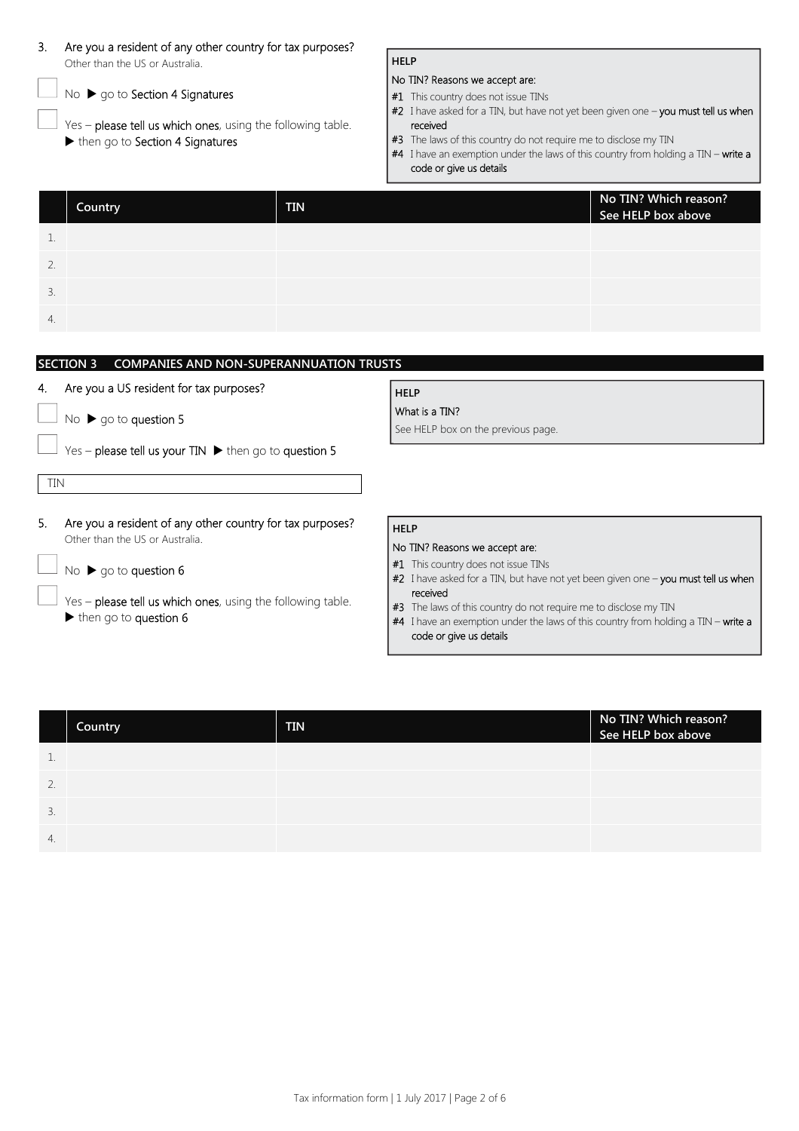| 3.                              | Are you a resident of any other country for tax purposes?                 |            |                                                                                                               |  |
|---------------------------------|---------------------------------------------------------------------------|------------|---------------------------------------------------------------------------------------------------------------|--|
| Other than the US or Australia. |                                                                           |            | <b>HELP</b>                                                                                                   |  |
|                                 | No ▶ go to Section 4 Signatures                                           |            | No TIN? Reasons we accept are:<br>#1 This country does not issue TINs                                         |  |
|                                 |                                                                           |            |                                                                                                               |  |
|                                 | Yes - please tell us which ones, using the following table.               |            | #2 I have asked for a TIN, but have not yet been given one - you must tell us when<br>received                |  |
|                                 | then go to Section 4 Signatures                                           |            | #3 The laws of this country do not require me to disclose my TIN                                              |  |
|                                 |                                                                           |            | #4 I have an exemption under the laws of this country from holding a TIN - write a<br>code or give us details |  |
|                                 |                                                                           |            |                                                                                                               |  |
|                                 | Country                                                                   | <b>TIN</b> | No TIN? Which reason?<br>See HELP box above                                                                   |  |
| 1.                              |                                                                           |            |                                                                                                               |  |
| 2.                              |                                                                           |            |                                                                                                               |  |
|                                 |                                                                           |            |                                                                                                               |  |
| 3.                              |                                                                           |            |                                                                                                               |  |
| 4.                              |                                                                           |            |                                                                                                               |  |
|                                 |                                                                           |            |                                                                                                               |  |
|                                 | <b>SECTION 3</b><br><b>COMPANIES AND NON-SUPERANNUATION TRUSTS</b>        |            |                                                                                                               |  |
| 4.                              | Are you a US resident for tax purposes?                                   |            | <b>HELP</b>                                                                                                   |  |
|                                 |                                                                           |            | What is a TIN?                                                                                                |  |
|                                 | No $\triangleright$ go to question 5                                      |            | See HELP box on the previous page.                                                                            |  |
|                                 | Yes - please tell us your TIN $\blacktriangleright$ then go to question 5 |            |                                                                                                               |  |
| TIN                             |                                                                           |            |                                                                                                               |  |
|                                 |                                                                           |            |                                                                                                               |  |
| 5.                              | Are you a resident of any other country for tax purposes?                 |            | <b>HELP</b>                                                                                                   |  |
|                                 | Other than the US or Australia.                                           |            | No TIN? Reasons we accept are:                                                                                |  |
|                                 | No $\triangleright$ go to question 6                                      |            | #1 This country does not issue TINs                                                                           |  |
|                                 |                                                                           |            | #2 I have asked for a TIN, but have not yet been given one - you must tell us when<br>received                |  |
|                                 | Yes - please tell us which ones, using the following table.               |            | #3 The laws of this country do not require me to disclose my TIN                                              |  |
|                                 | then go to question 6                                                     |            | #4 I have an exemption under the laws of this country from holding a TIN - write a                            |  |
|                                 |                                                                           |            | code or give us details                                                                                       |  |

|    | Country | <b>TIN</b> | No TIN? Which reason?<br>See HELP box above |
|----|---------|------------|---------------------------------------------|
|    |         |            |                                             |
|    |         |            |                                             |
| 3. |         |            |                                             |
| 4. |         |            |                                             |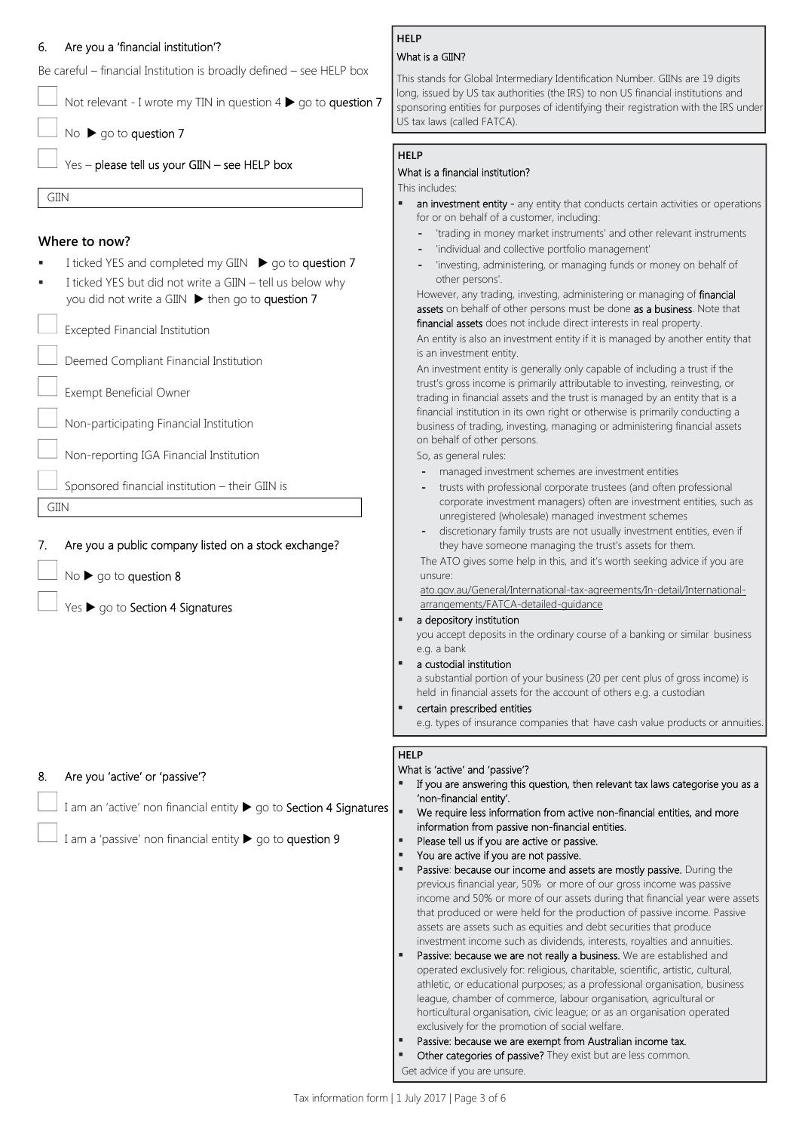## 6. Are you a 'financial institution'?

Be careful – financial Institution is broadly defined – see HELP box

Not relevant - I wrote my TIN in question  $4 \triangleright$  go to question 7

No  $\triangleright$  go to question 7

Yes – please tell us your GIIN – see HELP box

GIIN

GIIN

## **Where to now?**

- I ticked YES and completed my GIIN ▶ go to question 7
- I ticked YES but did not write a GIIN tell us below why you did not write a GIIN  $\blacktriangleright$  then go to question 7

Excepted Financial Institution

Deemed Compliant Financial Institution

Exempt Beneficial Owner

Non-participating Financial Institution

Non-reporting IGA Financial Institution

Sponsored financial institution – their GIIN is

7. Are you a public company listed on a stock exchange?

No  $\blacktriangleright$  go to question 8

Yes  $\blacktriangleright$  go to Section 4 Signatures

## 8. Are you 'active' or 'passive'?

I am an 'active' non financial entity  $\blacktriangleright$  go to Section 4 Signatures

I am a 'passive' non financial entity  $\triangleright$  go to question 9

## **HELP**

## What is a GIIN?

This stands for Global Intermediary Identification Number. GIINs are 19 digits long, issued by US tax authorities (the IRS) to non US financial institutions and sponsoring entities for purposes of identifying their registration with the IRS under US tax laws (called FATCA).

## **HELP**

## What is a financial institution?

#### This includes:

- an investment entity any entity that conducts certain activities or operations for or on behalf of a customer, including:
	- **-** 'trading in money market instruments' and other relevant instruments
	- **-** 'individual and collective portfolio management'
	- **-** 'investing, administering, or managing funds or money on behalf of other persons'.

However, any trading, investing, administering or managing of **financial** assets on behalf of other persons must be done as a business. Note that financial assets does not include direct interests in real property.

An entity is also an investment entity if it is managed by another entity that is an investment entity.

An investment entity is generally only capable of including a trust if the trust's gross income is primarily attributable to investing, reinvesting, or trading in financial assets and the trust is managed by an entity that is a financial institution in its own right or otherwise is primarily conducting a business of trading, investing, managing or administering financial assets on behalf of other persons.

So, as general rules:

- **-** managed investment schemes are investment entities
- **-** trusts with professional corporate trustees (and often professional corporate investment managers) often are investment entities, such as unregistered (wholesale) managed investment schemes
- **-** discretionary family trusts are not usually investment entities, even if they have someone managing the trust's assets for them.

The ATO gives some help in this, and it's worth seeking advice if you are unsure:

ato.gov.au/General/International-tax-agreements/In-detail/Internationalarrangements/FATCA-detailed-guidance

## a depository institution

you accept deposits in the ordinary course of a banking or similar business e.g. a bank

a custodial institution

a substantial portion of your business (20 per cent plus of gross income) is held in financial assets for the account of others e.g. a custodian

certain prescribed entities

e.g. types of insurance companies that have cash value products or annuities.

## **HELP**

## What is 'active' and 'passive'?

- If you are answering this question, then relevant tax laws categorise you as a 'non-financial entity'.
- We require less information from active non-financial entities, and more information from passive non-financial entities.
- Please tell us if you are active or passive.
- You are active if you are not passive.
- Passive: because our income and assets are mostly passive. During the previous financial year, 50% or more of our gross income was passive income and 50% or more of our assets during that financial year were assets that produced or were held for the production of passive income. Passive assets are assets such as equities and debt securities that produce investment income such as dividends, interests, royalties and annuities.
- Passive: because we are not really a business. We are established and operated exclusively for: religious, charitable, scientific, artistic, cultural, athletic, or educational purposes; as a professional organisation, business league, chamber of commerce, labour organisation, agricultural or horticultural organisation, civic league; or as an organisation operated exclusively for the promotion of social welfare.
- Passive: because we are exempt from Australian income tax.
- Other categories of passive? They exist but are less common. Get advice if you are unsure.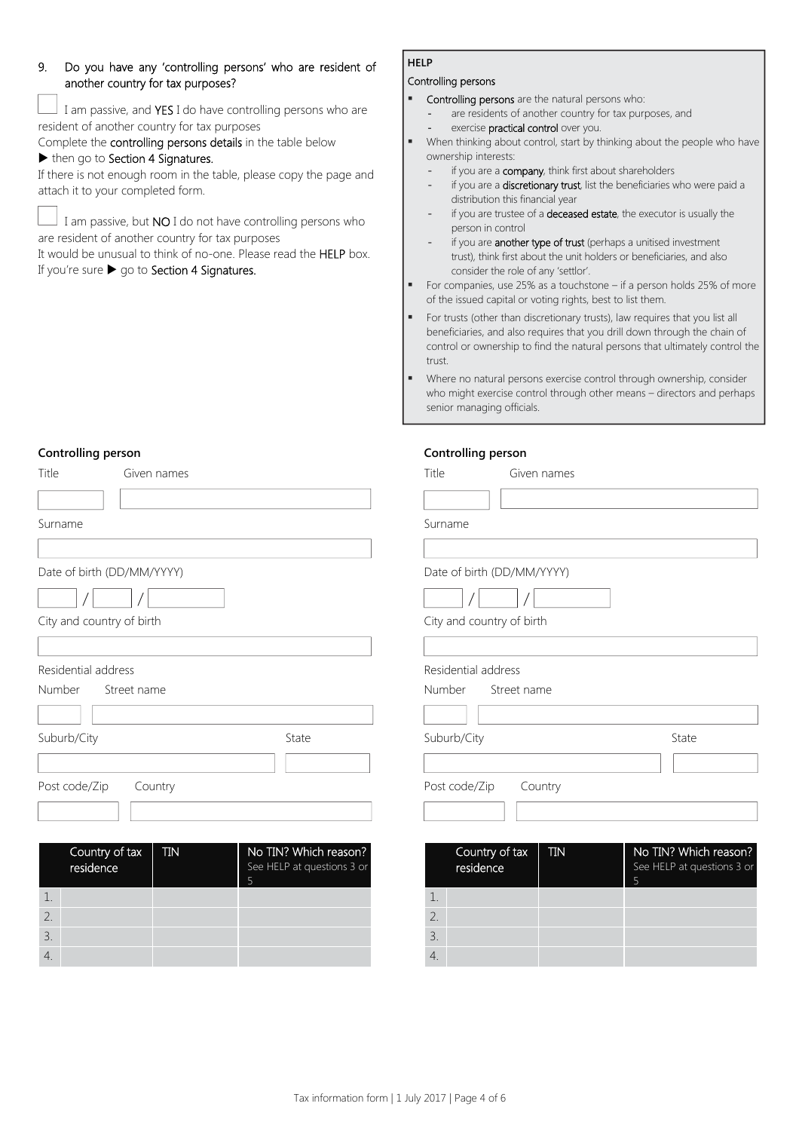## 9. Do you have any 'controlling persons' who are resident of another country for tax purposes?

 I am passive, and YES I do have controlling persons who are resident of another country for tax purposes

Complete the controlling persons details in the table below

## $\blacktriangleright$  then go to Section 4 Signatures.

If there is not enough room in the table, please copy the page and attach it to your completed form.

I am passive, but NO I do not have controlling persons who are resident of another country for tax purposes

It would be unusual to think of no-one. Please read the HELP box. If you're sure  $\blacktriangleright$  go to Section 4 Signatures.

## **HELP**

## Controlling persons

**Controlling person** 

- Controlling persons are the natural persons who:
	- are residents of another country for tax purposes, and
- exercise practical control over you.
- When thinking about control, start by thinking about the people who have ownership interests:
	- if you are a **company**, think first about shareholders
	- if you are a discretionary trust, list the beneficiaries who were paid a distribution this financial year
	- if you are trustee of a **deceased estate**, the executor is usually the person in control
	- if you are **another type of trust** (perhaps a unitised investment trust), think first about the unit holders or beneficiaries, and also consider the role of any 'settlor'.
- For companies, use 25% as a touchstone if a person holds 25% of more of the issued capital or voting rights, best to list them.
- For trusts (other than discretionary trusts), law requires that you list all beneficiaries, and also requires that you drill down through the chain of control or ownership to find the natural persons that ultimately control the trust.
- Where no natural persons exercise control through ownership, consider who might exercise control through other means – directors and perhaps senior managing officials.

h reason? stions 3 or

## **Controlling person**

4.

| Title<br>Given names                      |                                                          | <b>- 1</b><br>Title<br>Given names        |                                     |
|-------------------------------------------|----------------------------------------------------------|-------------------------------------------|-------------------------------------|
|                                           |                                                          |                                           |                                     |
| Surname                                   |                                                          | Surname                                   |                                     |
|                                           |                                                          |                                           |                                     |
| Date of birth (DD/MM/YYYY)                |                                                          | Date of birth (DD/MM/YYYY)                |                                     |
|                                           |                                                          |                                           |                                     |
| City and country of birth                 |                                                          | City and country of birth                 |                                     |
|                                           |                                                          |                                           |                                     |
| Residential address                       |                                                          | Residential address                       |                                     |
| Number<br>Street name                     |                                                          | Number<br>Street name                     |                                     |
|                                           |                                                          |                                           |                                     |
| Suburb/City                               | State                                                    | Suburb/City                               | State                               |
|                                           |                                                          |                                           |                                     |
| Post code/Zip<br>Country                  |                                                          | Post code/Zip<br>Country                  |                                     |
|                                           |                                                          |                                           |                                     |
|                                           |                                                          |                                           |                                     |
| Country of tax<br><b>TIN</b><br>residence | No TIN? Which reason?<br>See HELP at questions 3 or<br>5 | Country of tax<br><b>TIN</b><br>residence | No TIN? Whio<br>See HELP at qu<br>5 |
| 1.                                        |                                                          | 1.                                        |                                     |
| 2.                                        |                                                          | 2.                                        |                                     |
| 3.                                        |                                                          | 3.                                        |                                     |

 $\Delta$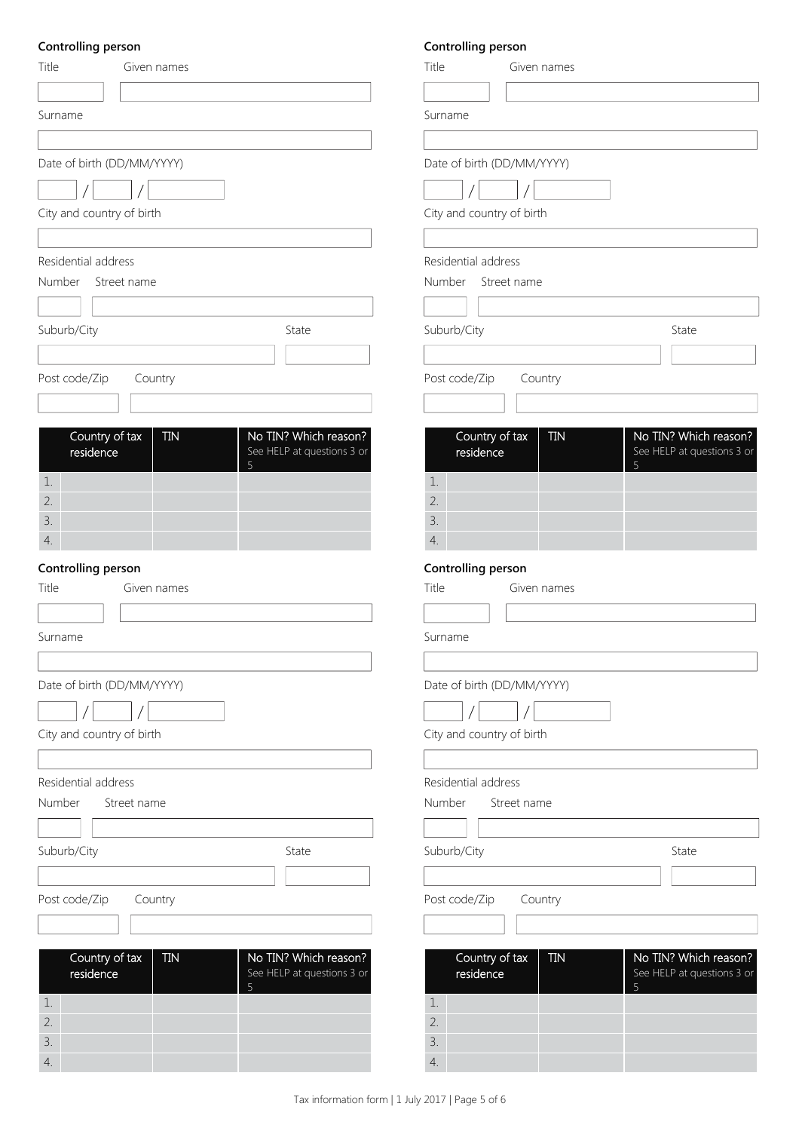## **Controlling person**

| Title<br>Given names         |                                 | Title         |
|------------------------------|---------------------------------|---------------|
|                              |                                 |               |
| Surname                      |                                 | Surname       |
|                              |                                 |               |
| Date of birth (DD/MM/YYYY)   |                                 | Date of birth |
|                              |                                 |               |
| City and country of birth    |                                 | City and cou  |
|                              |                                 |               |
| Residential address          |                                 | Residential a |
| Number<br>Street name        |                                 | Number        |
|                              |                                 |               |
| Suburb/City                  | State                           | Suburb/City   |
|                              |                                 |               |
| Post code/Zip<br>Country     |                                 | Post code/Zi  |
|                              |                                 |               |
|                              |                                 |               |
| Country of tax<br><b>TIN</b> | No TIN? Which reason?           | Count         |
| residence                    | See HELP at questions 3 or<br>5 | resider       |
| 1.                           |                                 | 1.            |
| 2.                           |                                 | 2.            |
| 3.                           |                                 | 3.            |
| 4.                           |                                 | 4.            |
| Controlling person           |                                 | Controlling   |
| Title<br>Given names         |                                 | Title         |
|                              |                                 |               |
| Surname                      |                                 | Surname       |
|                              |                                 |               |
| Date of birth (DD/MM/YYYY)   |                                 | Date of birth |
|                              |                                 |               |
| City and country of birth    |                                 | City and cou  |
|                              |                                 |               |
| Residential address          |                                 | Residential a |
| Number<br>Street name        |                                 | Number        |
|                              |                                 |               |
| Suburb/City                  | State                           | Suburb/City   |
|                              |                                 |               |
| Country<br>Post code/Zip     |                                 | Post code/Zi  |
|                              |                                 |               |
|                              |                                 |               |
| Country of tax<br><b>TIN</b> | No TIN? Which reason?           | Count         |
| residence                    | See HELP at questions 3 or<br>5 | resider       |
| 1.                           |                                 | 1.            |
| 2.                           |                                 | 2.            |
| 3.                           |                                 | 3.            |
| 4.                           |                                 | 4.            |

## **Controlling person**

| Title<br>Given names                            |                                                          |
|-------------------------------------------------|----------------------------------------------------------|
| Surname                                         |                                                          |
| Date of birth (DD/MM/YYYY)                      |                                                          |
|                                                 |                                                          |
| City and country of birth                       |                                                          |
| Residential address                             |                                                          |
| Number Street name                              |                                                          |
|                                                 |                                                          |
| Suburb/City                                     | State                                                    |
| Post code/Zip<br>Country                        |                                                          |
|                                                 |                                                          |
| Country of tax<br><b>TIN</b><br>residence<br>1. | No TIN? Which reason?<br>See HELP at questions 3 or<br>5 |
| 2.                                              |                                                          |
| 3.<br>4.                                        |                                                          |
| Controlling person                              |                                                          |
| Title<br>Given names                            |                                                          |
|                                                 |                                                          |
| Surname                                         |                                                          |
| Date of birth (DD/MM/YYYY)                      |                                                          |
|                                                 |                                                          |
| City and country of birth                       |                                                          |
|                                                 |                                                          |
| Residential address<br>Number<br>Street name    |                                                          |
|                                                 |                                                          |
| Suburb/City                                     | State                                                    |
| Post code/Zip<br>Country                        |                                                          |
|                                                 |                                                          |
| Country of tax<br><b>TIN</b><br>residence       | No TIN? Which reason?<br>See HELP at questions 3 or<br>5 |
| 1.<br>2.                                        |                                                          |
| 3.                                              |                                                          |